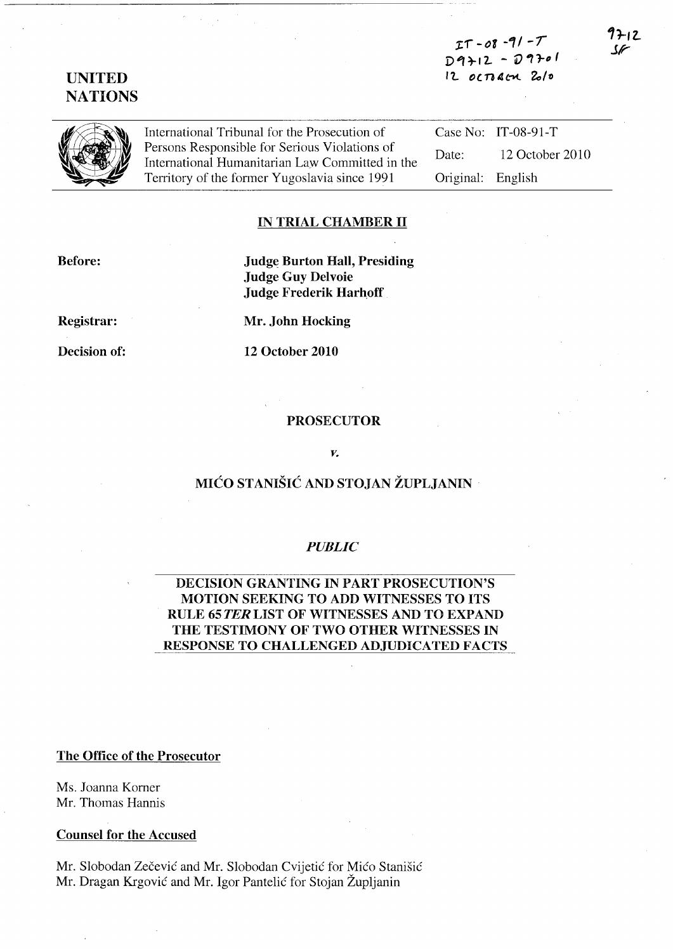$IT - O8 - 91 - T$  $D 9 + 12 - D 9 + 11$  $12$  octracy  $20/0$ 

# UNITED **NATIONS**

International Tribunal for the Prosecution of<br>Persons Responsible for Serious Violations of International Humanitarian Law Committed in the Territory of the former Yugoslavia since 1991

Case No: IT-08-91-T Date: 12 October 2010 Original: English

#### IN TRIAL CHAMBER II

Before:

Judge Burton Hall, Presiding Judge Guy Delvoie Judge Frederik Harhoff

Registrar:

Decision of:

Mr. John Hocking

12 October 2010

#### PROSECUTOR

#### *v.*

## MICO STANISIC AND STOJAN ZUPLJANIN

### *PUBLIC*

## DECISION GRANTING IN PART PROSECUTION'S MOTION SEEKING TO ADD WITNESSES TO ITS RULE 65 TER LIST OF WITNESSES AND TO EXPAND THE TESTIMONY OF TWO OTHER WITNESSES IN RESPONSE TO CHALLENGED ADJUDICATED FACTS

### The Office of the Prosecutor

Ms. Joanna Korner Mr. Thomas Hannis

### Counsel for the Accused

Mr. Slobodan Zecevic and Mr. Slobodan Cvijetic for Mico Stanisic Mr. Dragan Krgović and Mr. Igor Pantelić for Stojan Župljanin

9212 SF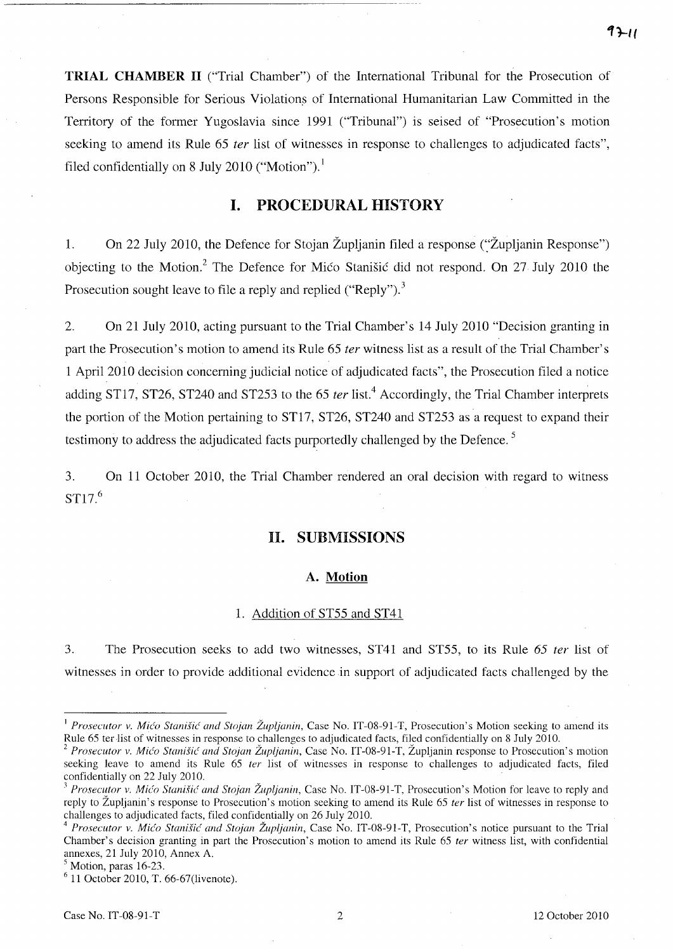**TRIAL CHAMBER II** ("Trial Chamber") of the International Tribunal for the Prosecution of Persons Responsible for Serious Violations of International Humanitarian Law Committed in the Territory of the former Yugoslavia since 1991 ("Tribunal") is seised of "Prosecution's motion seeking to amend its Rule 65 *ter* list of witnesses in response to challenges to adjudicated facts", filed confidentially on 8 July 2010 ("Motion").<sup>1</sup>

# **I. PROCEDURAL HISTORY**

1. On 22 July 2010, the Defence for Stojan Župljanin filed a response ("Župljanin Response") objecting to the Motion? The Defence for Mico Stanisic did not respond. On 27 July 2010 the Prosecution sought leave to file a reply and replied ("Reply").<sup>3</sup>

2. On 21 July 2010, acting pursuant to the Trial Chamber's 14 July 2010 "Decision granting in part the Prosecution's motion to amend its Rule 65 *ter* witness list as a result of the Trial Chamber's 1 April 2010 decision concerning judicial notice of adjudicated facts", the Prosecution filed a notice adding ST17, ST26, ST240 and ST253 to the 65 *ter* list.<sup>4</sup> Accordingly, the Trial Chamber interprets the portion of the Motion pertaining to ST17, ST26, ST240 and ST253 as a request to expand their testimony to address the adjudicated facts purportedly challenged by the Defence.<sup>5</sup>

3. On 11 October 2010, the Trial Chamber rendered an oral decision with regard to witness ST17.<sup>6</sup>

### **II. SUBMISSIONS**

#### **A. Motion**

#### 1. Addition of ST55 and ST41

3. The Prosecution seeks to add two witnesses, ST41 and *ST5S,* to its Rule 65 *ter* list of witnesses in order to provide additional evidence in support of adjudicated facts challenged by the

<sup>&</sup>lt;sup>1</sup> Prosecutor v. Mićo Stanišić and Stojan Župljanin, Case No. IT-08-91-T, Prosecution's Motion seeking to amend its Rule 65 terlist of witnesses in response to challenges to adjudicated facts, filed confidentially on 8 July 2010.

*Prosecutor v. Mićo Stanišić and Stojan Župljanin*, Case No. IT-08-91-T, Župljanin response to Prosecution's motion seeking leave to amend its Rule 65 *ter* list of witnesses in response to challenges to adjudicated facts, filed confidentially on 22 July 2010.

<sup>&</sup>lt;sup>3</sup> Prosecutor v. *Mićo Stanišić and Stojan Župljanin*, Case No. IT-08-91-T, Prosecution's Motion for leave to reply and reply to Zupljanin's response to Prosecution's motion seeking to amend its Rule 65 *ter* list of witnesses in response to challenges to adjudicated facts, filed confidentially on 26 July 2010.

*Prosecutor v. Mićo Stanišić and Stojan Župljanin*, Case No. IT-08-91-T, Prosecution's notice pursuant to the Trial Chamber's decision granting in part the Prosecution's motion to amend its Rule 65 *ter* witness list, with confidential annexes, 21 July 2010, Annex A.

 $<sup>5</sup>$  Motion, paras 16-23.</sup>

 $6$  11 October 2010, T. 66-67(livenote).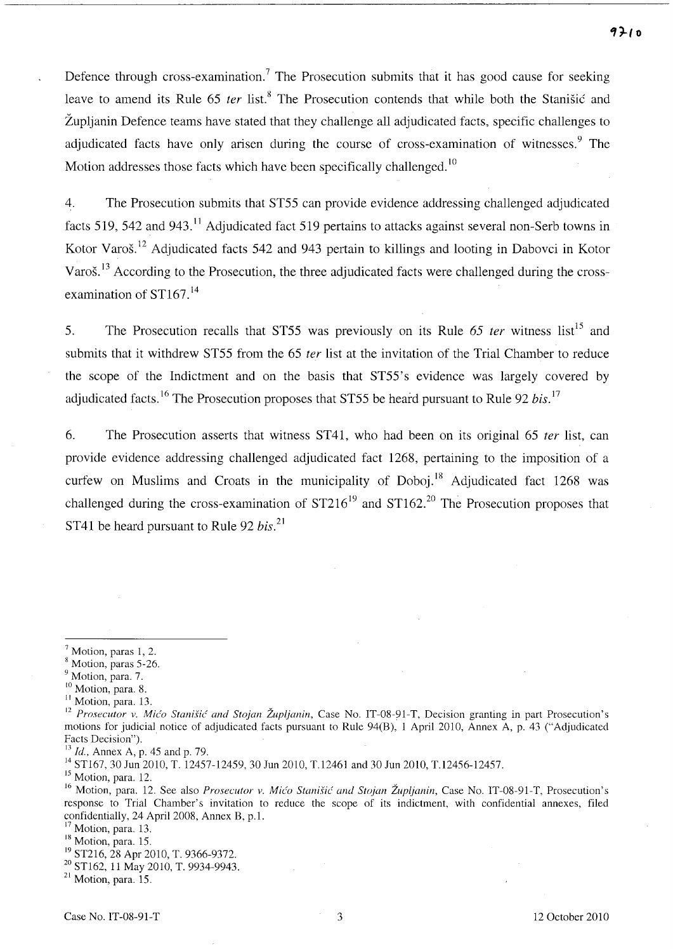Defence through cross-examination.<sup>7</sup> The Prosecution submits that it has good cause for seeking leave to amend its Rule 65 *ter* list.<sup>8</sup> The Prosecution contends that while both the Stanisic and Zupljanin Defence teams have stated that they challenge all adjudicated facts, specific challenges to adjudicated facts have only arisen during the course of cross-examination of witnesses.<sup>9</sup> The Motion addresses those facts which have been specifically challenged.<sup>10</sup>

4. The Prosecution submits that ST55 can provide evidence addressing challenged adjudicated facts 519, 542 and 943.<sup>11</sup> Adjudicated fact 519 pertains to attacks against several non-Serb towns in Kotor Varos.12 Adjudicated facts 542 and 943 pertain to killings and looting in Dabovci in Kotor Varoš.<sup>13</sup> According to the Prosecution, the three adjudicated facts were challenged during the crossexamination of  $ST167$ <sup>14</sup>

5. The Prosecution recalls that ST55 was previously on its Rule 65 *ter* witness list<sup>15</sup> and submits that it withdrew ST55 from the 65 *ter* list at the invitation of the Trial Chamber to reduce the scope of the Indictment and on the basis that ST55's evidence was largely covered by adjudicated facts. 16 The Prosecution proposes that ST55 be heard pursuant to Rule 92 *bis. l7* 

6. The Prosecution asserts that witness ST41, who had been on its original 65 *ter* list, can provide evidence addressing challenged adjudicated fact 1268, pertaining to the imposition of a curfew on Muslims and Croats in the municipality of Doboj.<sup>18</sup> Adjudicated fact 1268 was challenged during the cross-examination of  $ST216^{19}$  and  $ST162<sup>20</sup>$  The Prosecution proposes that ST41 be heard pursuant to Rule 92 *bis.* <sup>21</sup>

<sup>15</sup> Motion, para. 12.

21 Motion, para. 15.

 $<sup>7</sup>$  Motion, paras 1, 2.</sup>

<sup>8</sup> Motion, paras 5-26.

<sup>&</sup>lt;sup>9</sup> Motion, para. 7.

<sup>&</sup>lt;sup>10</sup> Motion, para. 8.

<sup>&</sup>lt;sup>11</sup> Motion, para. 13.

<sup>&</sup>lt;sup>12</sup> Prosecutor v. Mićo Stanišić and Stojan Župljanin, Case No. IT-08-91-T, Decision granting in part Prosecution's motions for judicial notice of adjudicated facts pursuant to Rule 94(B), 1 April 2010, Annex A, p. 43 ("Adjudicated Facts Decision").

<sup>13</sup>*Id.,* Annex A, p. 45 and p. 79.

<sup>&</sup>lt;sup>14</sup> ST167, 30 Jun 2010, T. 12457-12459, 30 Jun 2010, T.12461 and 30 Jun 2010, T.12456-12457.

<sup>&</sup>lt;sup>16</sup> Motion, para. 12. See also *Prosecutor v. Mićo Stanišić and Stojan Župljanin*, Case No. IT-08-91-T, Prosecution's response to Trial Chamber's invitation to reduce the scope of its indictment, with confidential annexes, filed confidentially, 24 April 200S, Annex B, p.l.

Motion, para. 13.

<sup>&</sup>lt;sup>18</sup> Motion, para. 15.

<sup>19</sup> ST216, 2S Apr 2010, T. 9366-9372.

<sup>20</sup> STl62, 11 May 2010, T. 9934-9943.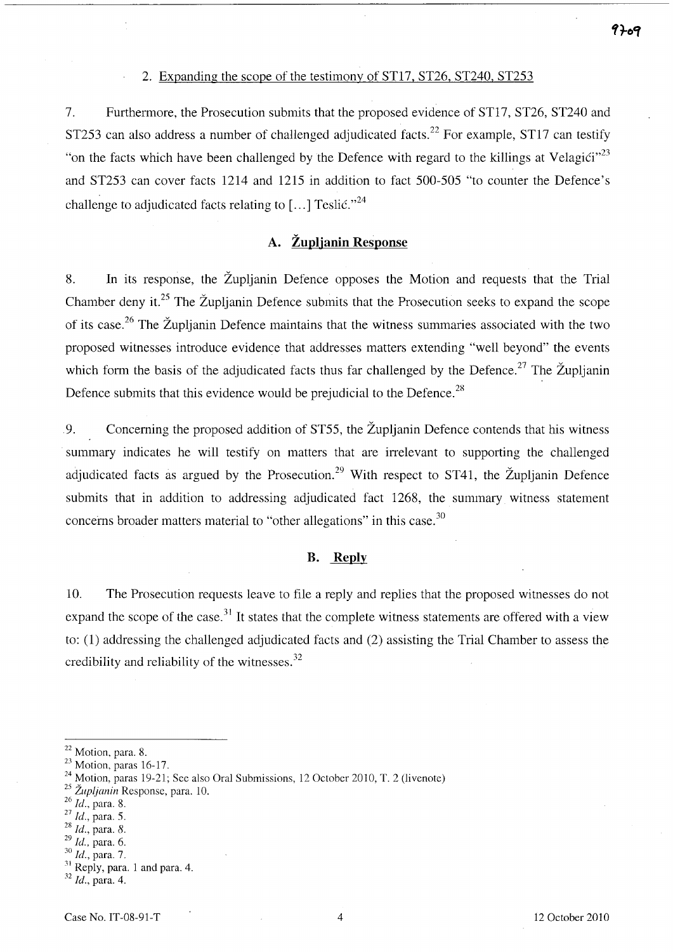### 2. Expanding the scope of the testimony of ST17, ST26, ST240, ST253

7. Furthermore, the Prosecution submits that the proposed evidence of ST17, ST26, ST240 and ST253 can also address a number of challenged adjudicated facts.<sup>22</sup> For example, ST17 can testify "on the facts which have been challenged by the Defence with regard to the killings at Velagići"<sup>23</sup> and ST253 can cover facts 1214 and 1215 in addition to fact 500-505 "to counter the Defence's challenge to adjudicated facts relating to  $\lceil ... \rceil$  Teslic.<sup>724</sup>

# **A. Zupljanin Response**

8. **In** its response, the Zupljanin Defence opposes the Motion and requests that the Trial Chamber deny it.<sup>25</sup> The Župlianin Defence submits that the Prosecution seeks to expand the scope of its case.<sup>26</sup> The Župljanin Defence maintains that the witness summaries associated with the two proposed witnesses introduce evidence that addresses matters extending "well beyond" the events which form the basis of the adjudicated facts thus far challenged by the Defence.<sup>27</sup> The Župljanin Defence submits that this evidence would be prejudicial to the Defence.<sup>28</sup>

9. Concerning the proposed addition of ST55, the Župljanin Defence contends that his witness summary indicates he will testify on matters that are irrelevant to supporting the challenged adjudicated facts as argued by the Prosecution.<sup>29</sup> With respect to ST41, the Župljanin Defence submits that in addition to addressing adjudicated fact 1268, the summary witness statement concerns broader matters material to "other allegations" in this case.<sup>30</sup>

### **B. Reply**

10. The Prosecution requests leave to file a reply and replies that the proposed witnesses do not expand the scope of the case.<sup>31</sup> It states that the complete witness statements are offered with a view to: (1) addressing the challenged adjudicated facts and (2) assisting the Trial Chamber to assess the credibility and reliability of the witnesses.  $32$ 

<sup>22</sup> Motion, para. 8.

 $23$  Motion, paras 16-17.

 $^{24}$  Motion, paras 19-21; See also Oral Submissions, 12 October 2010, T. 2 (livenote)

*<sup>25</sup> Zupljanin* Response, para. 10.

*<sup>26</sup> Id.,* para. 8.

<sup>&</sup>lt;sup>27</sup>*Id.*, para. 5.

*<sup>28</sup> Id.,* para. 8.

*<sup>29</sup> Id.,* para. 6.

*<sup>30</sup> Id.,* para. 7.

 $31$  Reply, para. 1 and para. 4.

*<sup>32</sup> Id.,* para. 4.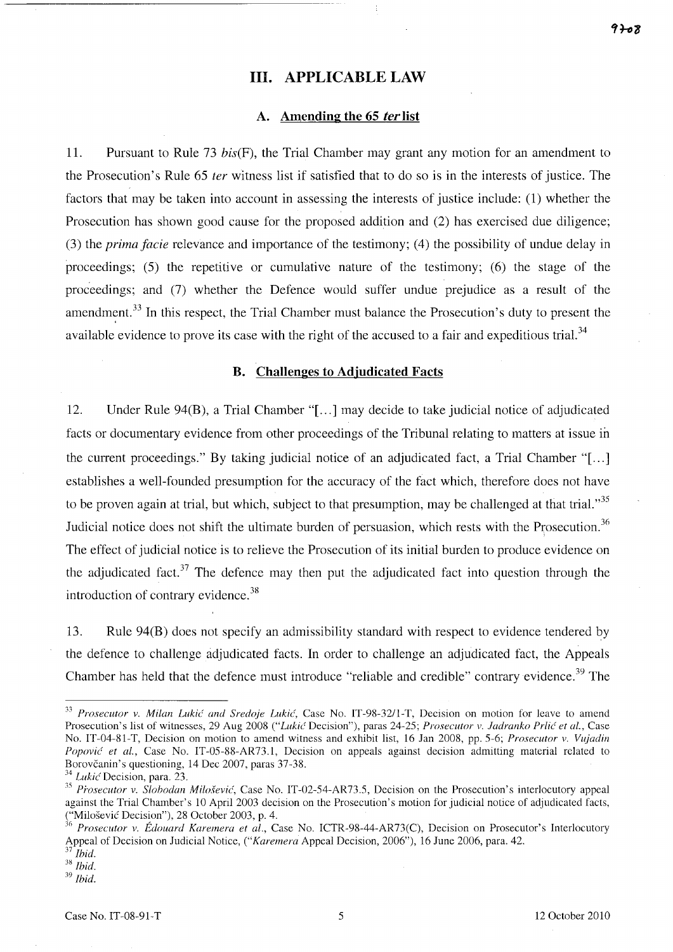### **Ill.** APPLICABLE LAW

### A. Amending the 65 fer list

11. Pursuant to Rule 73 bis(F), the Trial Chamber may grant any motion for an amendment to the Prosecution's Rule 65 *ter* witness list if satisfied that to do so is in the interests of justice. The factors that may be taken into account in assessing the interests of justice include: (1) whether the Prosecution has shown good cause for the proposed addition and (2) has exercised due diligence; (3) the *prima facie* relevance and importance of the testimony; (4) the possibility of undue delay in proceedings;  $(5)$  the repetitive or cumulative nature of the testimony;  $(6)$  the stage of the proceedings; and (7) whether the Defence would suffer undue prejudice as a result of the amendment.<sup>33</sup> In this respect, the Trial Chamber must balance the Prosecution's duty to present the available evidence to prove its case with the right of the accused to a fair and expeditious trial.<sup>34</sup>

#### B. Challenges to Adjudicated Facts

12. Under Rule 94(B), a Trial Chamber "[ ... ] may decide to take judicial notice of adjudicated facts or documentary evidence from other proceedings of the Tribunal relating to matters at issue in the current proceedings." By taking judicial notice of an adjudicated fact, a Trial Chamber "[ ... ] establishes a well-founded presumption for the accuracy of the fact which, therefore does not have to be proven again at trial, but which, subject to that presumption, may be challenged at that trial.<sup>35</sup> Judicial notice does not shift the ultimate burden of persuasion, which rests with the Prosecution.<sup>36</sup> The effect of judicial notice is to relieve the Prosecution of its initial burden to produce evidence on the adjudicated fact.<sup>37</sup> The defence may then put the adjudicated fact into question through the introduction of contrary evidence. <sup>38</sup>

13. Rule 94(B) does not specify an admissibility standard with respect to evidence tendered by the defence to challenge adjudicated facts. In order to challenge an adjudicated fact, the Appeals Chamber has held that the defence must introduce "reliable and credible" contrary evidence.<sup>39</sup> The

<sup>&</sup>lt;sup>33</sup> Prosecutor v. Milan Lukić and Sredoje Lukić, Case No. IT-98-32/1-T, Decision on motion for leave to amend Prosecution's list of witnesses, 29 Aug 2008 ("Lukić Decision"), paras 24-25; Prosecutor v. Jadranko Prlić et al., Case No. IT-04-81-T, Decision on motion to amend witness and exhibit list, 16 Jan 2008, pp. 5-6; *Prosecutor v. Vujadin* Popović et al., Case No. IT-05-88-AR73.1, Decision on appeals against decision admitting material related to Borovčanin's questioning, 14 Dec 2007, paras 37-38.

<sup>34</sup>*Lukic'Decision,* para. 23.

<sup>&</sup>lt;sup>35</sup> Prosecutor v. Slobodan Milošević, Case No. IT-02-54-AR73.5, Decision on the Prosecution's interlocutory appeal against the Trial Chamber's 10 April 2003 decision on the Prosecution's motion for judicial notice of adjudicated facts, ("Milosevic Decision"), 2S October 2003, p. 4.

*<sup>36</sup> Prosecutor v. Edouard Karemera et al.,* Case No. ICTR-9S-44-AR73(C), Decision on Prosecutor's Interlocutory Appeal of Decision on Judicial Notice, *("Karemera* Appeal Decision, 2006"), 16 June 2006, para. 42.

*<sup>37</sup> Ibid. 38 Ibid.* 

*<sup>39</sup> Ibid.*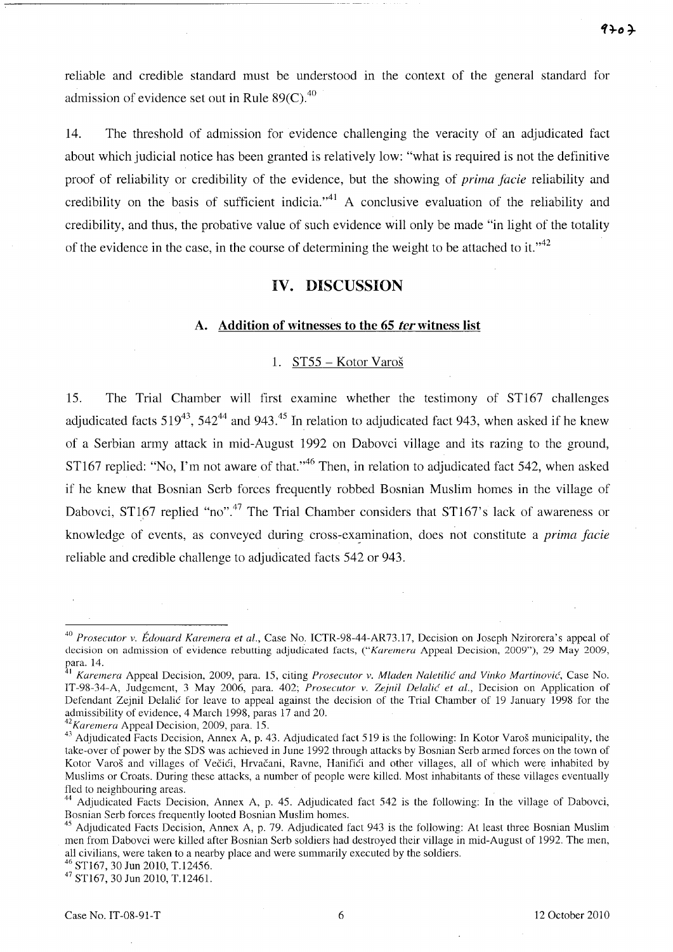$9707$ 

reliable and credible standard must be understood m the context of the general standard for admission of evidence set out in Rule  $89(C)$ .<sup>40</sup>

14. The threshold of admission for evidence challenging the veracity of an adjudicated fact about which judicial notice has been granted is relatively low: "what is required is not the definitive proof of reliability or credibility of the evidence, but the showing of *prima facie* reliability and credibility on the basis of sufficient indicia."<sup>41</sup> A conclusive evaluation of the reliability and credibility, and thus, the probative value of such evidence will only be made "in light of the totality of the evidence in the case, in the course of determining the weight to be attached to it.<sup> $,42$ </sup>

### **IV. DISCUSSION**

### A. Addition of witnesses to the 65 *ter* witness list

#### 1. ST55 - Kotor Varos

15. The Trial Chamber will first examine whether the testimony of ST167 challenges adjudicated facts  $519^{43}$ ,  $542^{44}$  and  $943^{45}$  In relation to adjudicated fact 943, when asked if he knew of a Serbian anny attack in mid-August 1992 on Dabovci village and its razing to the ground, ST167 replied: "No, I'm not aware of that."<sup>46</sup> Then, in relation to adjudicated fact 542, when asked if he knew that Bosnian Serb forces frequently robbed Bosnian Muslim homes in the village of Dabovci, ST167 replied "no".<sup>47</sup> The Trial Chamber considers that ST167's lack of awareness or knowledge of events, as conveyed during cross-examination, does not constitute a *prima facie* reliable and credible challenge to adjudicated facts 542 or 943.

*42Karemera* Appeal Decision, 2009, para. 15.

46 STl67, 30 Jun 2010, T.12456.

47 STl67, 30 Jun 2010, T.12461.

*<sup>40</sup> Prosecutor v. Edouard Karemera et al.,* Case No. ICTR-98-44-AR73.17, Decision on Joseph Nzirorera's appeal of decision on admission of evidence rebutting adjudicated facts, *("Karemera* Appeal Decision, 2009"), 29 May 2009, para. 14.

<sup>&</sup>lt;sup>1</sup> Karemera Appeal Decision, 2009, para. 15, citing *Prosecutor v. Mladen Naletilić and Vinko Martinović*, Case No. IT-98-34-A, Judgement, 3 May 2006, para. 402; *Prosecutor v. Zejnil Delalic' et aI.,* Decision on Application of Defendant Zejnil Delalic for leave to appeal against the decision of the Trial Chamber of 19 January 1998 for the admissibility of evidence, 4 March 1998, paras 17 and 20.

<sup>&</sup>lt;sup>43</sup> Adjudicated Facts Decision, Annex A, p. 43. Adjudicated fact 519 is the following: In Kotor Varoš municipality, the take-over of power by the SDS was achieved in June 1992 through attacks by Bosnian Serb armed forces on the town of Kotor Varoš and villages of Večići, Hrvačani, Ravne, Hanifići and other villages, all of which were inhabited by Muslims or Croats. During these attacks, a number of people were killed. Most inhabitants of these villages eventually fled to neighbouring areas.

Adjudicated Facts Decision, Annex A, p. 45. Adjudicated fact 542 is the following: In the village of Dabovci, Bosnian Serb forces frequently looted Bosnian Muslim homes.

<sup>&</sup>lt;sup>45</sup> Adjudicated Facts Decision, Annex A, p. 79. Adjudicated fact 943 is the following: At least three Bosnian Muslim men from Dabovci were killed after Bosnian Serb soldiers had destroyed their village in mid-August of 1992. The men, all civilians, were taken to a nearby place and were summarily executed by the soldiers.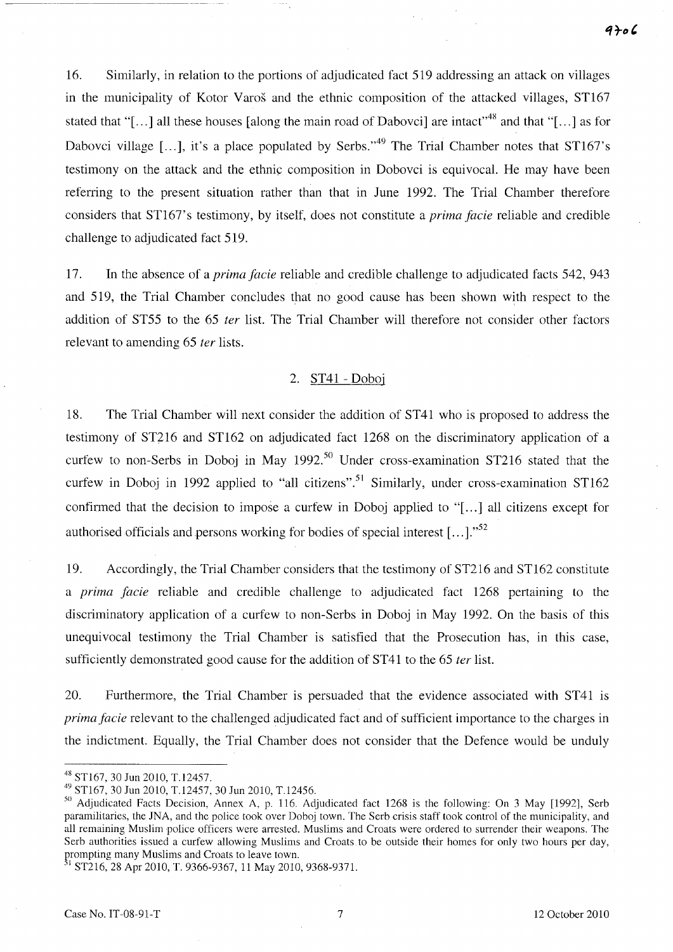16. Similarly, in relation to the portions of adjudicated fact 519 addressing an attack on villages in the municipality of Kotor Varos and the ethnic composition of the attacked villages, ST167 stated that "[...] all these houses [along the main road of Dabovci] are intact<sup> $,48$ </sup> and that "[...] as for Dabovci village  $[\dots]$ , it's a place populated by Serbs."<sup>49</sup> The Trial Chamber notes that ST167's testimony on the attack and the ethnic composition in Dobovci is equivocal. He may have been refening to the present situation rather than that in June 1992. The Trial Chamber therefore considers that STI67's testimony, by itself, does not constitute a *prima facie* reliable and credible challenge to adjudicated fact 519.

17. **In** the absence of a *prima facie* reliable and credible challenge to adjudicated facts 542, 943 and 519, the Trial Chamber concludes that no good cause has been shown with respect to the addition of ST55 to the 65 *fer* list. The Trial Chamber will therefore not consider other factors relevant to amending 65 *fer* lists.

### 2. ST41 - Doboj

18. The Trial Chamber will next consider the addition of ST41 who is proposed to address the testimony of ST216 and ST162 on adjudicated fact 1268 on the discriminatory application of a curfew to non-Serbs in Doboj in May 1992.<sup>50</sup> Under cross-examination ST216 stated that the curfew in Doboj in 1992 applied to "all citizens".<sup>51</sup> Similarly, under cross-examination ST162 confirmed that the decision to impose a curfew in Doboj applied to "[...] all citizens except for authorised officials and persons working for bodies of special interest [...].<sup>552</sup>

19. Accordingly, the Trial Chamber considers that the testimony of ST216 and ST162 constitute a *prima facie* reliable and credible challenge to adjudicated fact 1268 pertaining to the discriminatory application of a curfew to non-Serbs in Doboj in May 1992. On the basis of this unequivocal testimony the Trial Chamber is satisfied that the Prosecution has, in this case, sufficiently demonstrated good cause for the addition of ST41 to the 65 *ter* list.

20. Furthennore, the Trial Chamber is persuaded that the evidence associated with ST41 is *prima facie* relevant to the challenged adjudicated fact and of sufficient importance to the charges in the indictment. Equally, the Trial Chamber does not consider that the Defence would be unduly

<sup>48</sup> STl67, 30 Jun 2010, T.12457.

<sup>4~</sup> STl67, 30 Jun 2010, T.12457, 30 Jun 2010, T.12456.

<sup>50</sup> Adjudicated Facts Decision, Annex A, p. 116. Adjudicated fact 1268 is the following: On 3 May [1992], Serb paramilitaries, the JNA, and the police took over Doboj town. The Serb crisis staff took control of the municipality, and all remaining Muslim police officers were arrested. Muslims and Croats were ordered to surrender their weapons. The Serb authorities issued a curfew allowing Muslims and Croats to be outside their homes for only two hours per day, rrompting many Muslims and Croats to leave town.

<sup>&</sup>lt;sup>31</sup> ST216, 28 Apr 2010, T. 9366-9367, 11 May 2010, 9368-9371.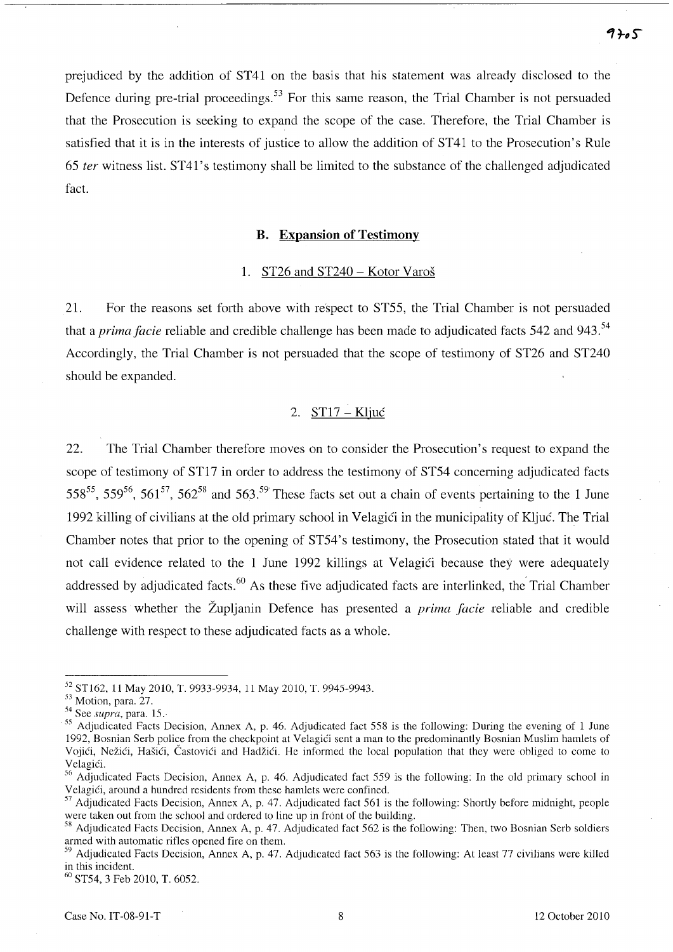prejudiced by the addition of ST41 on the basis that his statement was already disclosed to the Defence during pre-trial proceedings.<sup>53</sup> For this same reason, the Trial Chamber is not persuaded that the Prosecution is seeking to expand the scope of the case. Therefore, the Trial Chamber is satisfied that it is in the interests of justice to allow the addition of ST41 to the Prosecution's Rule *65 ter* witness list. ST41' s testimony shall be limited to the substance of the challenged adjudicated fact.

#### **B. Expansion of Testimony**

### 1. ST26 and ST240 - Kotor Varoš

21. For the reasons set forth above with respect to ST55, the Trial Chamber is not persuaded that a *prima facie* reliable and credible challenge has been made to adjudicated facts 542 and 943.<sup>54</sup> Accordingly, the Trial Chamber is not persuaded that the scope of testimony of ST26 and ST240 should be expanded.

### 2. ST17 - Kljuc

22. The Trial Chamber therefore moves on to consider the Prosecution's request to expand the scope of testimony of ST17 in order to address the testimony of ST54 concerning adjudicated facts 558<sup>55</sup>, 559<sup>56</sup>, 561<sup>57</sup>, 562<sup>58</sup> and 563.<sup>59</sup> These facts set out a chain of events pertaining to the 1 June 1992 killing of civilians at the old primary school in Velagići in the municipality of Kljuć. The Trial Chamber notes that prior to the opening of ST54's testimony, the Prosecution stated that it would not call evidence related to the 1 June 1992 killings at Velagici because they were adequately addressed by adjudicated facts.<sup>60</sup> As these five adjudicated facts are interlinked, the Trial Chamber will assess whether the Zupljanin Defence has presented a *prima facie* reliable and credible challenge with respect to these adjudicated facts as a whole.

<sup>52</sup> STl62, 11 May 2010, T. 9933-9934, 11 May 2010, T. 9945-9943.

<sup>53</sup> Motion, para. 27.

<sup>54</sup> See *supra,* para. 15.

*ss* Adjudicated Facts Decision, Annex A, p. 46. Adjudicated fact 558 is the following: During the evening of 1 June 1992, Bosnian Serb police from the checkpoint at Velagići sent a man to the predominantly Bosnian Muslim hamlets of Vojići, Nežići, Hašići, Častovići and Hadžići. He informed the local population that they were obliged to come to Velagići.

<sup>56</sup> Adjudicated Facts Decision, Annex A, p. 46. Adjudicated fact 559 is the following: In the old primary school in Velagici, around a hundred residents from these hamlets were confined.

 $57$  Adjudicated Facts Decision, Annex A, p. 47. Adjudicated fact 561 is the following: Shortly before midnight, people were taken out from the school and ordered to line up in front of the building.

<sup>&</sup>lt;sup>58</sup> Adjudicated Facts Decision, Annex A, p. 47. Adjudicated fact 562 is the following: Then, two Bosnian Serb soldiers armed with automatic rifles opened fire on them.

 $59$  Adjudicated Facts Decision, Annex A, p. 47. Adjudicated fact 563 is the following: At least 77 civilians were killed in this incident.

<sup>60</sup> ST54, 3 Feb 2010, T. 6052.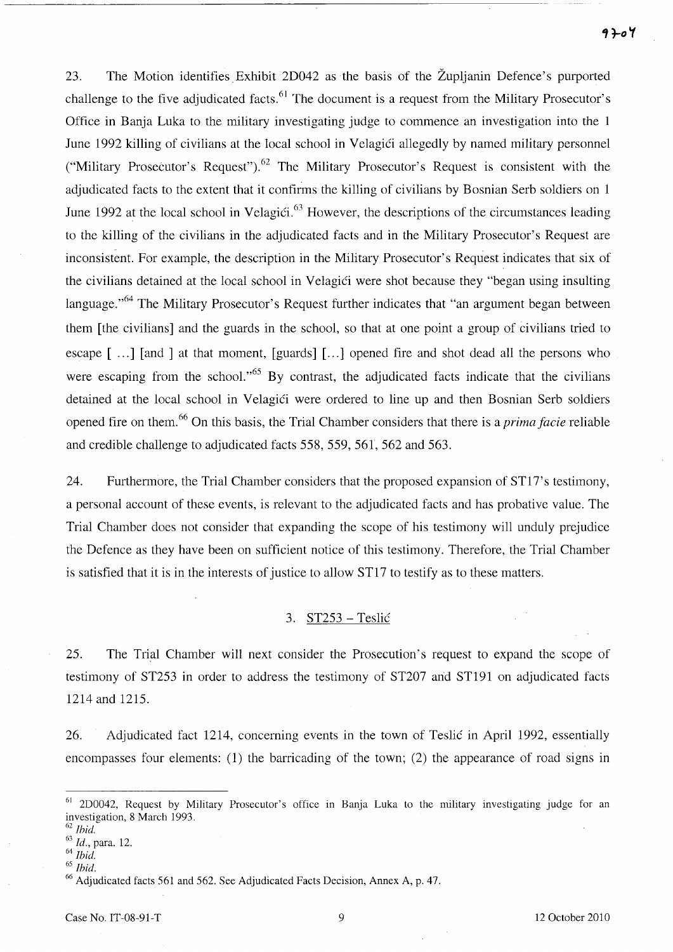23. The Motion identifies Exhibit 2D042 as the basis of the Zupljanin Defence's purported challenge to the five adjudicated facts.  $61$  The document is a request from the Military Prosecutor's Office in Banja Luka to the military investigating judge to commence an investigation into the 1 June 1992 killing of civilians at the local school in Velagici allegedly by named military personnel ("Military Prosecutor's Request").<sup>62</sup> The Military Prosecutor's Request is consistent with the adjudicated facts to the extent that it confirms the killing of civilians by Bosnian Serb soldiers on 1 June 1992 at the local school in Velagići.<sup>63</sup> However, the descriptions of the circumstances leading to the killing of the civilians in the adjudicated facts and in the Military Prosecutor's Request are - inconsistent. For example, the description in the Military Prosecutor's Request indicates that six of the civilians detained at the local school in Velagici were shot because they "began using insulting language."<sup>64</sup> The Military Prosecutor's Request further indicates that "an argument began between them [the civilians] and the guards in the school, so that at one point a group of civilians tried to escape [...] [and ] at that moment, [guards] [...] opened fire and shot dead all the persons who were escaping from the school.<sup> $,65$ </sup> By contrast, the adjudicated facts indicate that the civilians detained at the local school in Velagići were ordered to line up and then Bosnian Serb soldiers opened fire on them. 66 On this basis, the Trial Chamber considers that there is a *prima facie* reliable and credible challenge to adjudicated facts 558, 559, 561, 562 and 563.

24. Furthermore, the Trial Chamber considers that the proposed expansion of ST17's testimony, a personal account of these events, is relevant to the adjudicated facts and has probative value. The Trial Chamber does not consider that expanding the scope of his testimony will unduly prejudice the Defence as they have been on sufficient notice of this testimony. Therefore, the Trial Chamber is satisfied that it is in the interests of justice to allow ST17 to testify as to these matters.

# 3. ST253 - Teslić

25. The Trial Chamber will next consider the Prosecution's request to expand the scope of testimony of ST253 in order to address the testimony of ST207 arid ST191 on adjudicated facts 1214 and 1215.

26. Adjudicated fact 1214, concerning events in the town of Teslic in April 1992, essentially encompasses four elements: (1) the barricading of the town; (2) the appearance of road signs in

<sup>61 2</sup>D0042, Request by Military Prosecutor's office in Banja Luka to the military investigating judge for an investigation, 8 March 1993.

<sup>62</sup>*Ihid.* 

*<sup>63</sup>*Id., para. 12.

*<sup>64</sup> Ihid.* 

<sup>65</sup> *Ihid.* 

<sup>&</sup>lt;sup>66</sup> Adjudicated facts 561 and 562. See Adjudicated Facts Decision, Annex A, p. 47.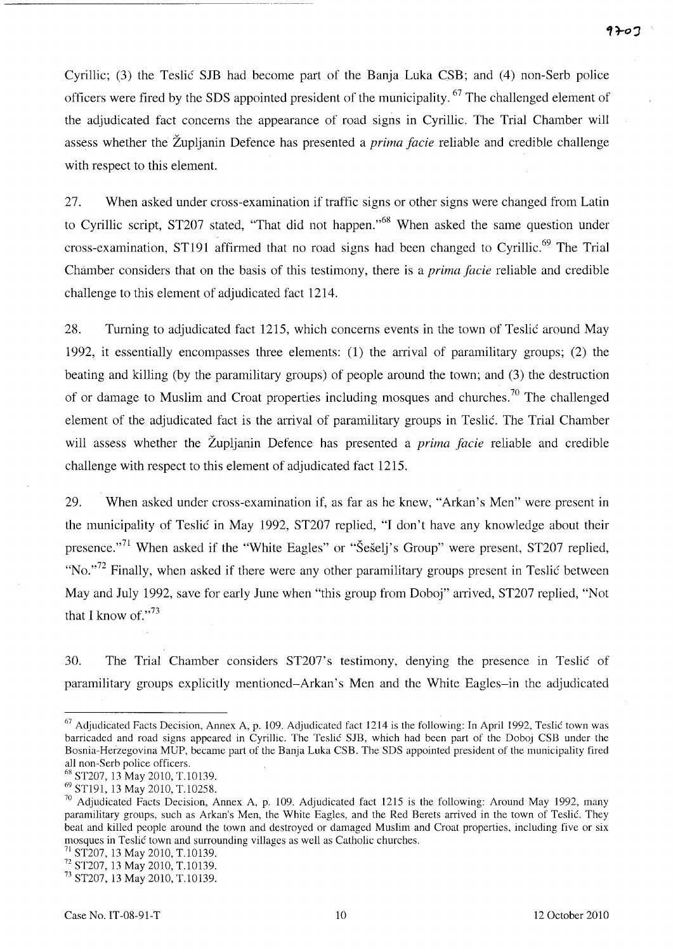Cyrillic; (3) the Teslic SJB had become part of the Banja Luka CSB; and (4) non-Serb police officers were fired by the SDS appointed president of the municipality. 67 The challenged element of the adjudicated fact concerns the appearance of road signs in Cyrillic. The Trial Chamber will assess whether the Zupljanin Defence has presented a *prima facie* reliable and credible challenge with respect to this element.

27. When asked under cross-examination if traffic signs or other signs were changed from Latin to Cyrillic script, ST207 stated, "That did not happen."<sup>68</sup> When asked the same question under cross-examination, ST191 affirmed that no road signs had been changed to Cyrillic.<sup>69</sup> The Trial Chamber considers that on the basis of this testimony, there is a *prima facie* reliable and credible challenge to this element of adjudicated fact 1214.

28. Turning to adjudicated fact 1215, which concerns events in the town of Teslic around May 1992, it essentially encompasses three elements: (1) the arrival of paramilitary groups; (2) the beating and killing (by the paramilitary groups) of people around the town; and (3) the destruction of or damage to Muslim and Croat properties including mosques and churches.<sup>70</sup> The challenged element of the adjudicated fact is the arrival of paramilitary groups in Teslic. The Trial Chamber will assess whether the Župljanin Defence has presented a *prima facie* reliable and credible challenge with respect to this element of adjudicated fact 1215.

29. When asked under cross-examination if, as far as he knew, "Arkan's Men" were present in the municipality of Teslic in May 1992, ST207 replied, "I don't have any knowledge about their presence."<sup>71</sup> When asked if the "White Eagles" or "Šešelj's Group" were present, ST207 replied, "No. $172$  Finally, when asked if there were any other paramilitary groups present in Teslic between May and July 1992, save for early June when "this group from Doboj" arrived, ST207 replied, "Not that I know of." $^{73}$ 

30. The Trial Chamber considers ST207's testimony, denying the presence in Teslic of paramilitary groups explicitly mentioned-Arkan's Men and the White Eagles-in the adjudicated

<sup>&</sup>lt;sup>67</sup> Adjudicated Facts Decision, Annex A, p. 109. Adjudicated fact 1214 is the following: In April 1992, Teslic town was barricaded and road signs appeared in Cyrillic. The Teslic SJB, which had been part of the Doboj CSB under the Bosnia-Herzegovina MUP, became part of the Banja Luka CSB. The SDS appointed president of the municipality fired all non-Serb police officers.

<sup>68</sup> ST207, 13 May 2010, T.I0139.

<sup>69</sup> STl91, 13 May 2010, T.10258.

<sup>&</sup>lt;sup>70</sup> Adjudicated Facts Decision, Annex A, p. 109. Adjudicated fact 1215 is the following: Around May 1992, many paramilitary groups, such as Arkan's Men, the White Eagles, and the Red Berets arrived in the town of Teslic. They beat and killed people around the town and destroyed or damaged Muslim and Croat properties, including five or six mosques in Teslic town and surrounding villages as well as Catholic churches.

 $71$  ST207, 13 May 2010, T.10139.

 $72$  ST207, 13 May 2010, T.10139.

<sup>73</sup> ST207, 13 May 2010, T.10139.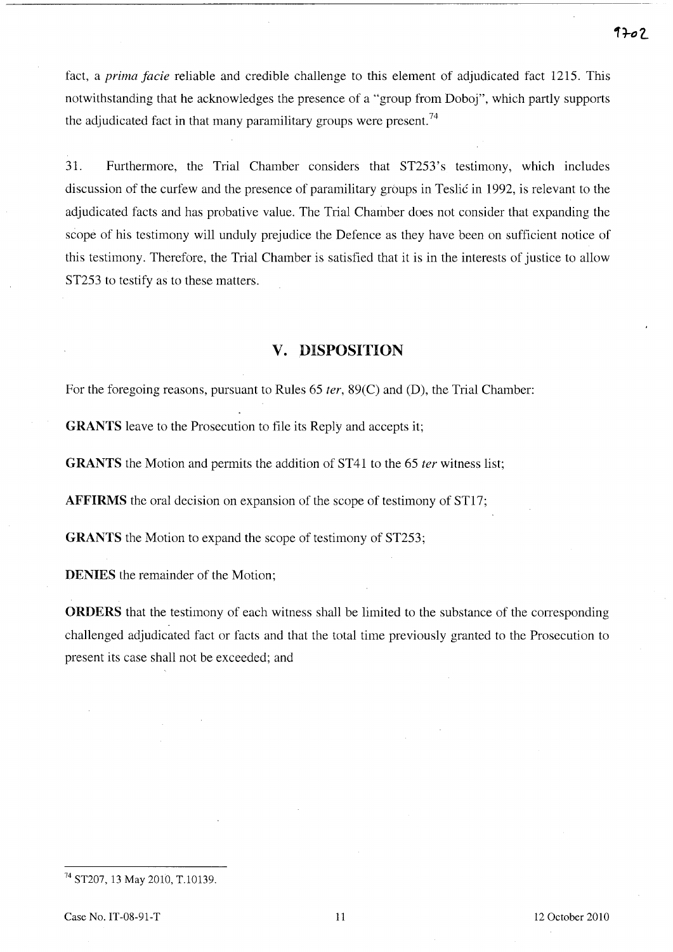fact, a *prima facie* reliable and credible challenge to this element of adjudicated fact 1215. This notwithstanding that he acknowledges the presence of a "group from Doboj", which partly supports the adjudicated fact in that many paramilitary groups were present.<sup>74</sup>

31. Furthermore, the Trial Chamber considers that ST253's testimony, which includes discussion of the curfew and the presence of paramilitary groups in Teslic in 1992, is relevant to the adjudicated facts and has probative value. The Trial Chamber does not consider that expanding the scope of his testimony will unduly prejudice the Defence as they have been on sufficient notice of this testimony. Therefore, the Trial Chamber is satisfied that it is in the interests of justice to allow ST253 to testify as to these matters.

# **v. DISPOSITION**

For the foregoing reasons, pursuant to Rules 65 *ter,* 89(C) and (D), the Trial Chamber:

**GRANTS** leave to the Prosecution to file its Reply and accepts it;

**GRANTS** the Motion and permits the addition of ST41 to the 65 *ter* witness list;

**AFFIRMS** the oral decision on expansion of the scope of testimony of ST17;

**GRANTS** the Motion to expand the scope of testimony of ST253;

**DENIES** the remainder of the Motion;

**ORDERS** that the testimony of each witness shall be limited to the substance of the corresponding challenged adjudicated fact or facts and that the total time previously granted to the Prosecution to present its case shall not be exceeded; and